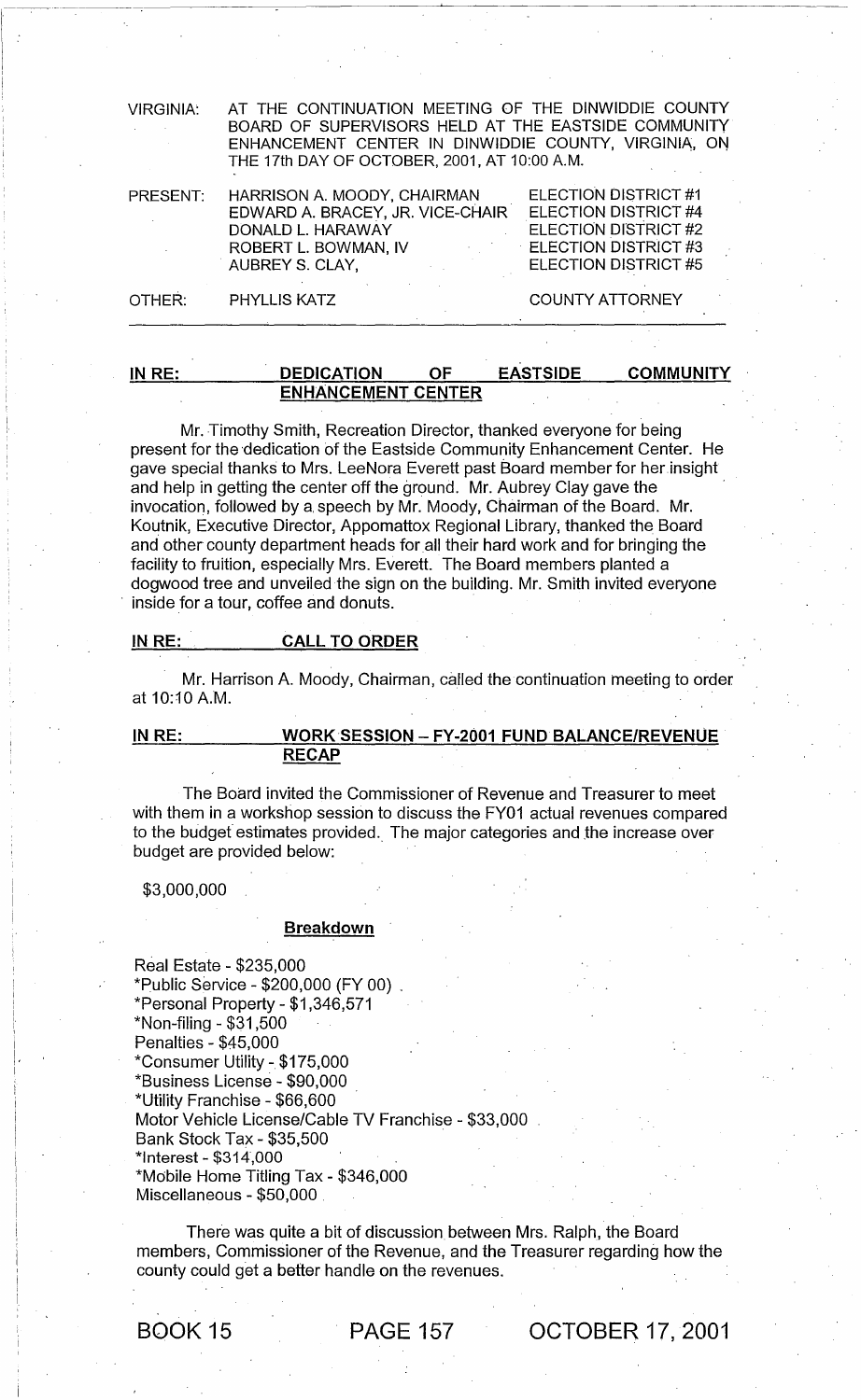VIRGINIA: AT THE CONTINUATION MEETING OF THE DINWIDDIE COUNTY BOARD OF SUPERVISORS HELD AT THE EASTSIDE COMMUNITY ENHANCEMENT CENTER IN DINWIDDIE COUNTY, VIRGINIA, ON THE 17th DAY OF OCTOBER, 2001, AT 10:00 A.M. PRESENT: HARRISON A. MOODY, CHAIRMAN ELECTION DISTRICT #1

|        | EDWARD A. BRACEY, JR. VICE-CHAIR ELECTION DISTRICT #4<br>DONALD L. HARAWAY<br>ROBERT L. BOWMAN, IV<br>AUBREY S. CLAY, | <b>ELECTION DISTRICT #2</b><br><b>ELECTION DISTRICT #3</b><br>ELECTION DISTRICT #5 |
|--------|-----------------------------------------------------------------------------------------------------------------------|------------------------------------------------------------------------------------|
| OTHER: | <b>PHYLLIS KATZ</b>                                                                                                   | <b>COUNTY ATTORNEY</b>                                                             |

# INRE: DEDICATION OF EASTSIDE COMMUNITY ENHANCEMENT CENTER

Mr. Timothy Smith, Recreation Director, thanked everyone for being present for the 'dedication of the Eastside Community Enhancement Center. He gave special thanks to Mrs. LeeNora Everett past Board member for her. insight and help in getting the center off the ground. Mr. Aubrey Clay gave the invocation, followed by a speech by Mr. Moody, Chairman of the Board. Mr. Koutnik, Executive Director, Appomattox Regional Library, thanked the Board and other county department heads forall their hard work and for bringing the facility to fruition, especially Mrs. Everett. The Board members planted a dogwood tree and unveiled the sign on the building. Mr. Smith invited everyone inside for a tour, coffee and donuts.

## INRE: CALL TO ORDER

Mr. Harrison A. Moody, Chairman, called the continuation meeting to order at 10:10 A.M.

# IN RE: WORK SESSION - FY-2001 FUND BALANCE/REVENUE RECAP

The Board invited the Commissioner of Revenue and Treasurer to meet with them in a workshop session to discuss the FY01 actual revenues compared to the budget estimates provided. The major categories and the increase over budget are provided below:

\$3,000,000

#### **Breakdown**

Real Estate - \$235,000 \*public Service - \$200,000 (FY 00) . \*Personal Property - \$1,346,571 \*Non-filing - \$31 ,500 Penalties - \$45,000 \*Consumer Utility - \$175,000 \*Business License - \$90,000 \*Utility Franchise - \$66,600 . Motor Vehicle License/Cable TV Franchise - \$33,000 Bank Stock Tax - \$35,500 \*Interest - \$314,000 \*Mobile Home Titling Tax - \$346,000 Miscellaneous - \$50,000 .

There was quite a bit of discussion between Mrs. Ralph, the Board members, Commissioner of the Revenue, and the Treasurer regarding how the county could get a better handle on the revenues.

BOOK 15 PAGE 157 OCTOBER 17, 2001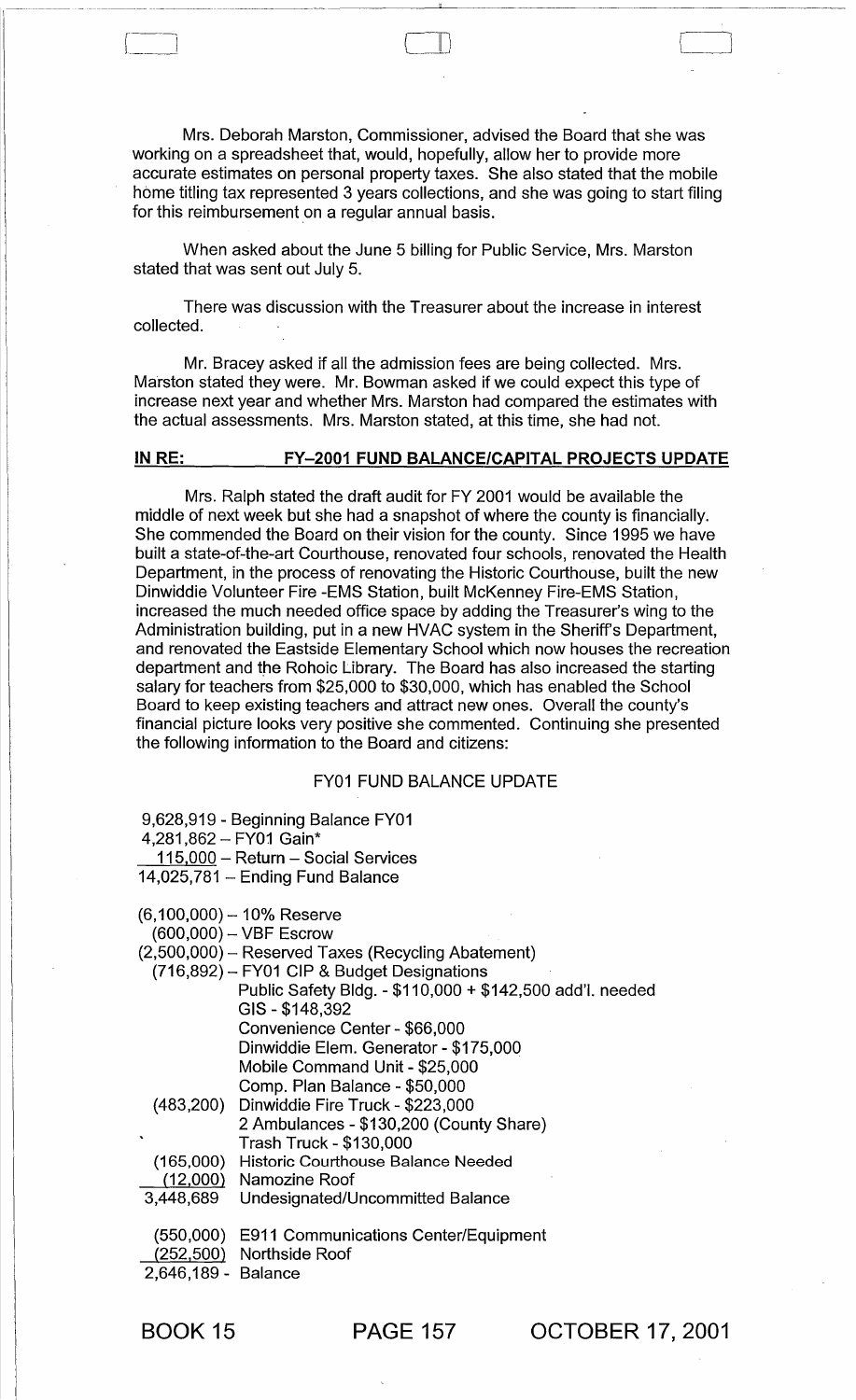Mrs. Deborah Marston, Commissioner, advised the Board that she was working on a spreadsheet that, would, hopefully, allow her to provide more accurate estimates on personal property taxes. She also stated that the mobile home titling tax represented 3 years collections, and she was going to start filing for this reimbursement on a regular annual basis.

-~ ~-------- --~------ ~- ~------~--~-------'-------------------------

 $\bigcup$ 

 $\Box$ 

When asked about the June 5 billing for Public Service, Mrs. Marston stated that was sent out July 5.

There was discussion with the Treasurer about the increase in interest collected.

Mr. Bracey asked if all the admission fees are being collected. Mrs. Marston stated they were. Mr. Bowman asked if we could expect this type of increase next year and whether Mrs. Marston had compared the estimates with the actual assessments. Mrs. Marston stated, at this time, she had not.

### IN RE: FY-2001 FUND BALANCE/CAPITAL PROJECTS UPDATE

Mrs. Ralph stated the draft audit for FY 2001 would be available the middle of next week but she had a snapshot of where the county is financially. She commended the Board on their vision for the county. Since 1995 we have built a state-of-the-art Courthouse, renovated four schools, renovated the Health Department, in the process of renovating the Historic Courthouse, built the new Dinwiddie Volunteer Fire -EMS Station, built McKenney Fire-EMS Station, increased the much needed office space by adding the Treasurer's wing to the Administration building, put in a new HVAC system in the Sheriff's Department, and renovated the Eastside Elementary School which now houses the recreation department and the Rohoic Library. The Board has also increased the starting salary for teachers from \$25,000 to \$30,000, which has enabled the School Board to keep existing teachers and attract new ones. Overall the county's financial picture looks very positive she commented. Continuing she presented the following information to the Board and citizens:

# FY01 FUND BALANCE UPDATE

| $4,281,862 - FY01$ Gain* | 9,628,919 - Beginning Balance FY01<br>115,000 - Return - Social Services<br>14,025,781 - Ending Fund Balance |  |
|--------------------------|--------------------------------------------------------------------------------------------------------------|--|
|                          | $(6,100,000) - 10\%$ Reserve                                                                                 |  |
|                          | $(600,000) - VBF$ Escrow                                                                                     |  |
|                          | (2,500,000) - Reserved Taxes (Recycling Abatement)                                                           |  |
|                          | (716,892) – FY01 CIP & Budget Designations                                                                   |  |
|                          | Public Safety Bldg. - \$110,000 + \$142,500 add'l. needed                                                    |  |
|                          | GIS-\$148,392                                                                                                |  |
|                          | Convenience Center - \$66,000                                                                                |  |
|                          | Dinwiddie Elem. Generator - \$175,000                                                                        |  |
|                          | Mobile Command Unit - \$25,000                                                                               |  |
|                          | Comp. Plan Balance - \$50,000                                                                                |  |
|                          | (483,200) Dinwiddie Fire Truck - \$223,000                                                                   |  |
|                          | 2 Ambulances - \$130,200 (County Share)                                                                      |  |
|                          | Trash Truck - \$130,000                                                                                      |  |
|                          | (165,000) Historic Courthouse Balance Needed                                                                 |  |
|                          | $(12,000)$ Namozine Roof                                                                                     |  |
|                          | 3,448,689 Undesignated/Uncommitted Balance                                                                   |  |
|                          |                                                                                                              |  |
|                          | (550,000) E911 Communications Center/Equipment                                                               |  |
|                          | (252,500) Northside Roof                                                                                     |  |
| 2,646,189 - Balance      |                                                                                                              |  |

BOOK 15 PAGE 157 OCTOBER 17,2001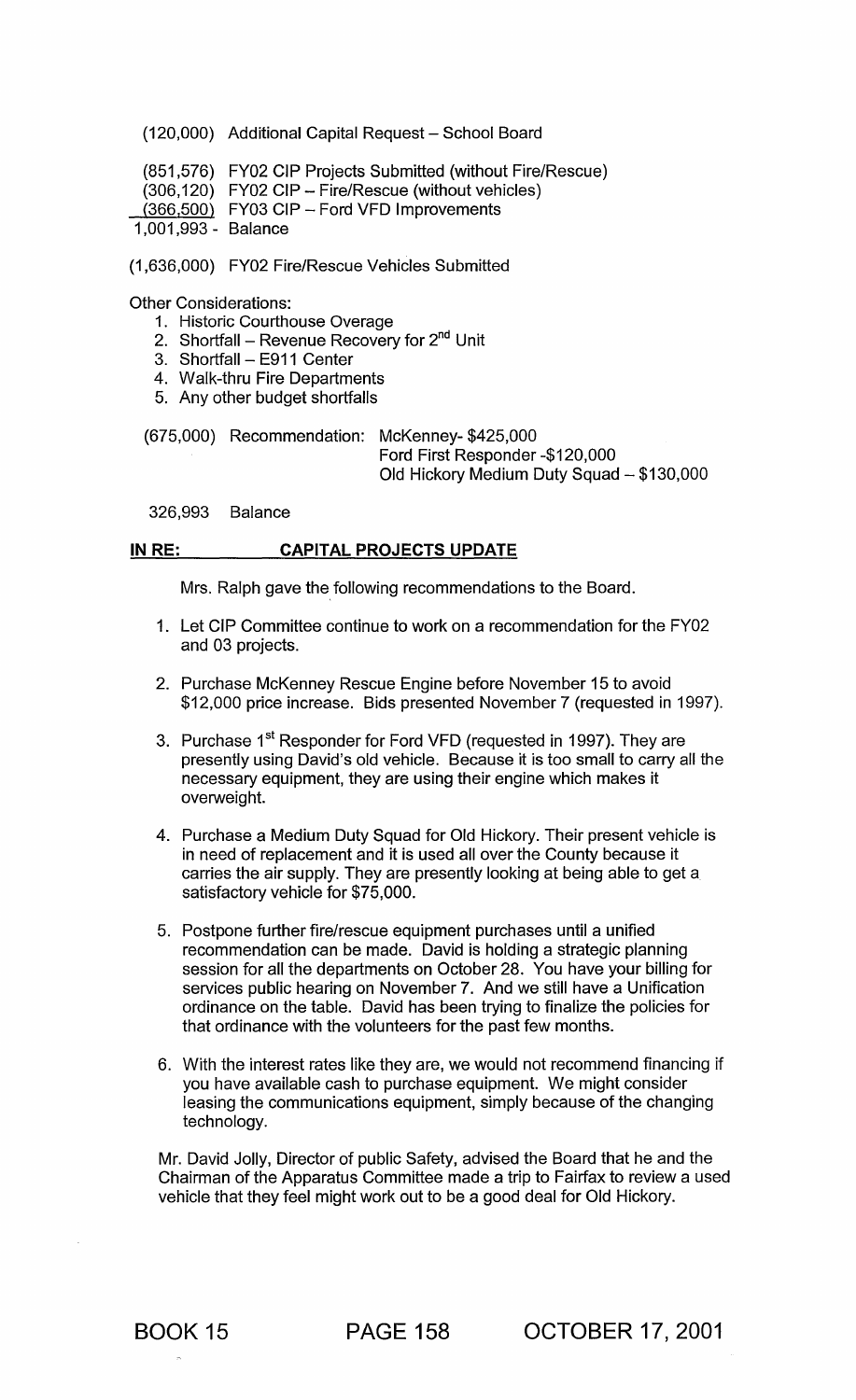(120,000) Additional Capital Request - School Board

(851,576) FY02 CIP Projects Submitted (without Fire/Rescue)

(306,120) FY02 CIP - Fire/Rescue (without vehicles)

 $(366,500)$  FY03 CIP - Ford VFD Improvements

1,001,993 - Balance

(1,636,000) FY02 Fire/Rescue Vehicles Submitted

Other Considerations:

- 1. Historic Courthouse Overage
- 2. Shortfall Revenue Recovery for  $2^{nd}$  Unit
- 3. Shortfall E911 Center
- 4. Walk-thru Fire Departments
- 5. Any other budget shortfalls

(675,000) Recommendation: McKenney- \$425,000 Ford First Responder -\$120,000 Old Hickory Medium Duty Squad - \$130,000

326,993 Balance

# IN RE: CAPITAL PROJECTS UPDATE

Mrs. Ralph gave the following recommendations to the Board.

- 1. Let CIP Committee continue to work on a recommendation for the FY02 and 03 projects.
- 2. Purchase McKenney Rescue Engine before November 15 to avoid \$12,000 price increase. Bids presented November 7 (requested in 1997).
- 3. Purchase 1<sup>st</sup> Responder for Ford VFD (requested in 1997). They are presently using David's old vehicle. Because it is too small to carry all the necessary equipment, they are using their engine which makes it overweight.
- 4. Purchase a Medium Duty Squad for Old Hickory. Their present vehicle is in need of replacement and it is used all over the County because it carries the air supply. They are presently looking at being able to get a satisfactory vehicle for \$75,000.
- 5. Postpone further fire/rescue equipment purchases until a unified recommendation can be made. David is holding a strategic planning session for all the departments on October 28. You have your billing for services public hearing on November 7. And we still have a Unification ordinance on the table. David has been trying to finalize the policies for that ordinance with the volunteers for the past few months.
- 6. With the interest rates like they are, we would not recommend financing if you have available cash to purchase equipment. We might consider leasing the communications equipment, simply because of the changing technology.

Mr. David Jolly, Director of public Safety, advised the Board that he and the Chairman of the Apparatus Committee made a trip to Fairfax to review a used vehicle that they feel might work out to be a good deal for Old Hickory.

BOOK 15 PAGE 158 OCTOBER 17, 2001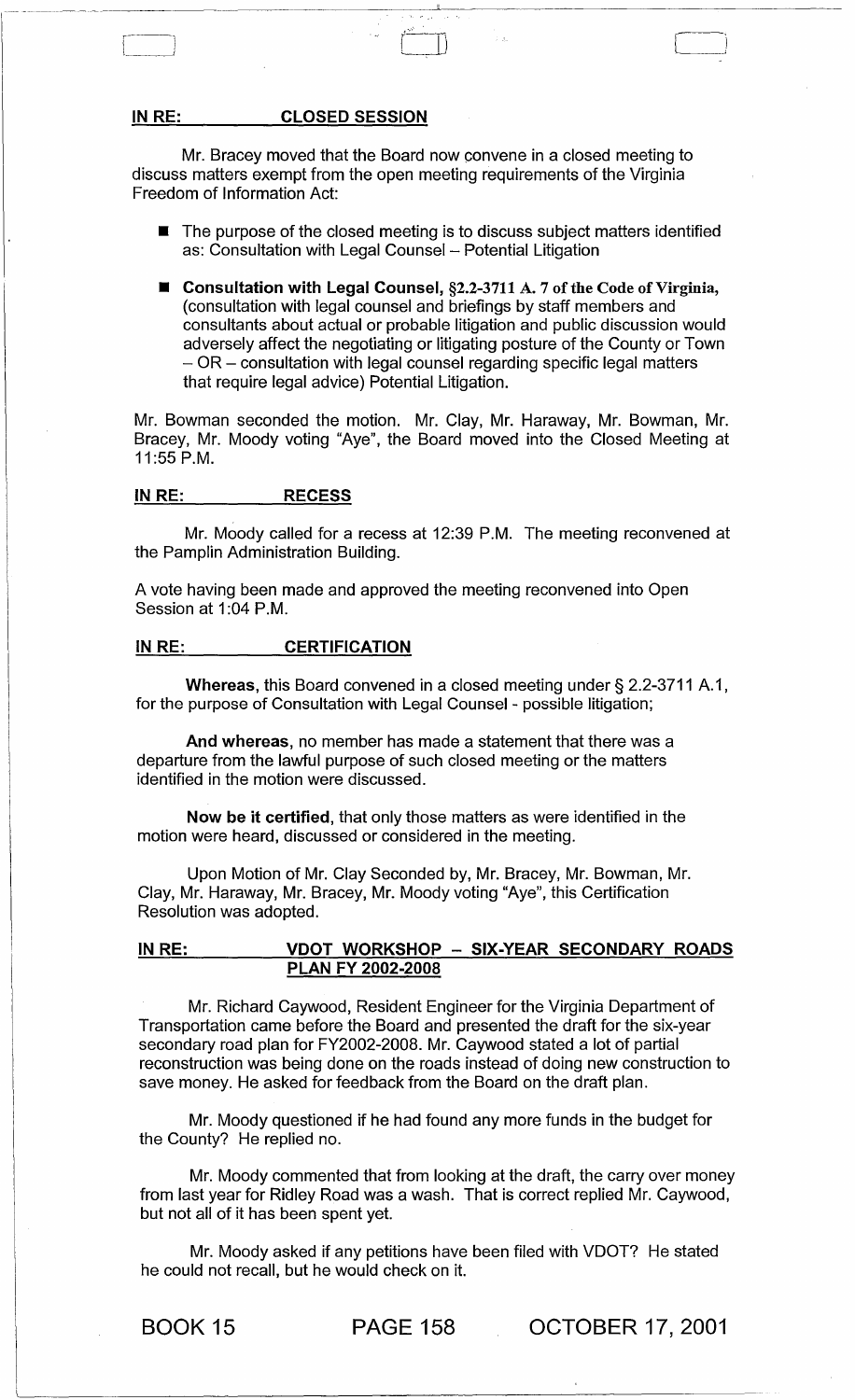## IN RE: CLOSED SESSION

-------------------------

Mr. Bracey moved that the Board now convene in a closed meeting to discuss matters exempt from the open meeting requirements of the Virginia Freedom of Information Act:

 $\blacksquare$  The purpose of the closed meeting is to discuss subject matters identified as: Consultation with Legal Counsel - Potential Litigation

 $[\;$ 

■ Consultation with Legal Counsel, §2.2-3711 A. 7 of the Code of Virginia, (consultation with legal counsel and briefings by staff members and consultants about actual or probable litigation and public discussion would adversely affect the negotiating or litigating posture of the County or Town  $-$  OR  $-$  consultation with legal counsel regarding specific legal matters that require legal advice) Potential Litigation.

Mr. Bowman seconded the motion. Mr. Clay, Mr. Haraway, Mr. Bowman, Mr. Bracey, Mr. Moody voting "Aye", the Board moved into the Closed Meeting at 11:55 P.M.

### IN RE: RECESS

Mr. Moody called for a recess at 12:39 P.M. The meeting reconvened at the Pamplin Administration Building.

A vote having been made and approved the meeting reconvened into Open Session at 1:04 P.M.

## IN RE: CERTIFICATION

Whereas, this Board convened in a closed meeting under § 2.2-3711 A.1, for the purpose of Consultation with Legal Counsel - possible litigation;

And whereas, no member has made a statement that there was a departure from the lawful purpose of such closed meeting or the matters identified in the motion were discussed.

Now be it certified, that only those matters as were identified in the motion were heard, discussed or considered in the meeting.

Upon Motion of Mr. Clay Seconded by, Mr. Bracey, Mr. Bowman, Mr. Clay, Mr. Haraway, Mr. Bracey, Mr. Moody voting "Aye", this Certification Resolution was adopted.

# IN RE: VDOT WORKSHOP - SIX-YEAR SECONDARY ROADS PLAN FY 2002-2008

Mr. Richard Caywood, Resident Engineer for the Virginia Department of Transportation came before the Board and presented the draft for the six-year secondary road plan for FY2002-2008. Mr. Caywood stated a lot of partial reconstruction was being done on the roads instead of doing new construction to save money. He asked for feedback from the Board on the draft plan.

Mr. Moody questioned if he had found any more funds in the budget for the County? He replied no.

Mr. Moody commented that from looking at the draft, the carry over money from last year for Ridley Road was a wash. That is correct replied Mr. Caywood, but not all of it has been spent yet.

Mr. Moody asked if any petitions have been filed with VDOT? He stated he could not recall, but he would check on it.

BOOK 15 PAGE 158 OCTOBER 17,2001